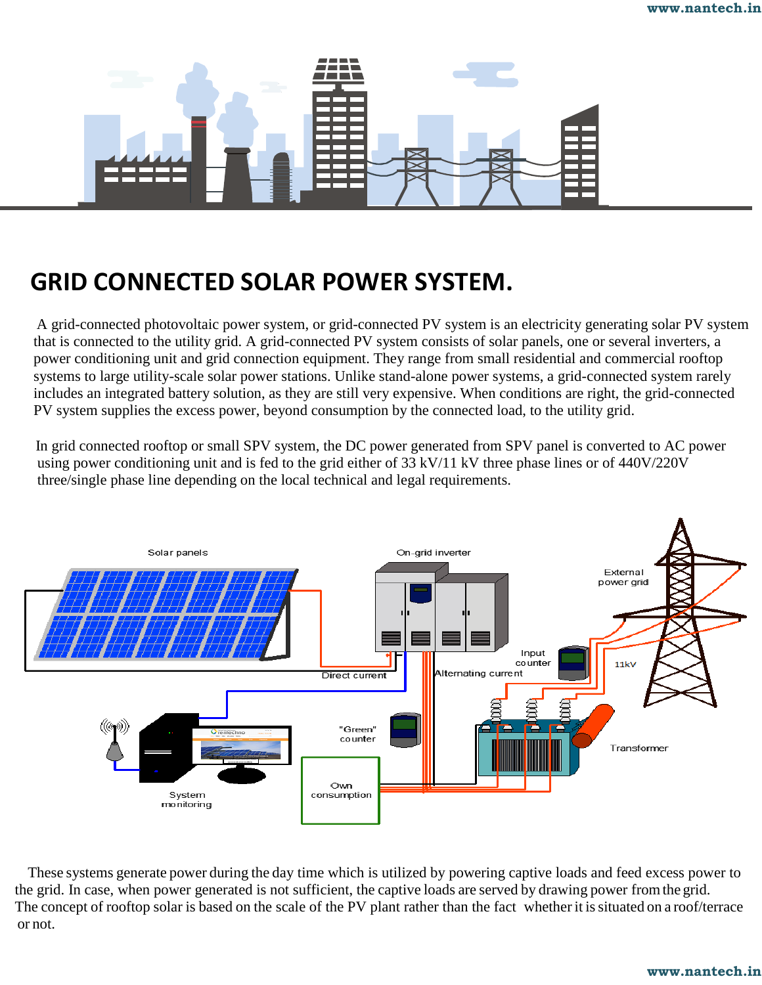

## **GRID CONNECTED SOLAR POWER SYSTEM.**

A grid-connected photovoltaic power system, or grid-connected PV system is an electricity generating solar PV system that is connected to the utility grid. A grid-connected PV system consists of solar panels, one or several inverters, a power conditioning unit and grid connection equipment. They range from small residential and commercial rooftop systems to large utility-scale solar power stations. Unlike stand-alone power systems, a grid-connected system rarely includes an integrated battery solution, as they are still very expensive. When conditions are right, the grid-connected PV system supplies the excess power, beyond consumption by the connected load, to the utility grid.

In grid connected rooftop or small SPV system, the DC power generated from SPV panel is converted to AC power using power conditioning unit and is fed to the grid either of 33 kV/11 kV three phase lines or of 440V/220V three/single phase line depending on the local technical and legal requirements.



These systems generate power during the day time which is utilized by powering captive loads and feed excess power to the grid. In case, when power generated is not sufficient, the captive loads are served by drawing power fromthe grid. The concept of rooftop solar is based on the scale of the PV plant rather than the fact whether it is situated on a roof/terrace or not.